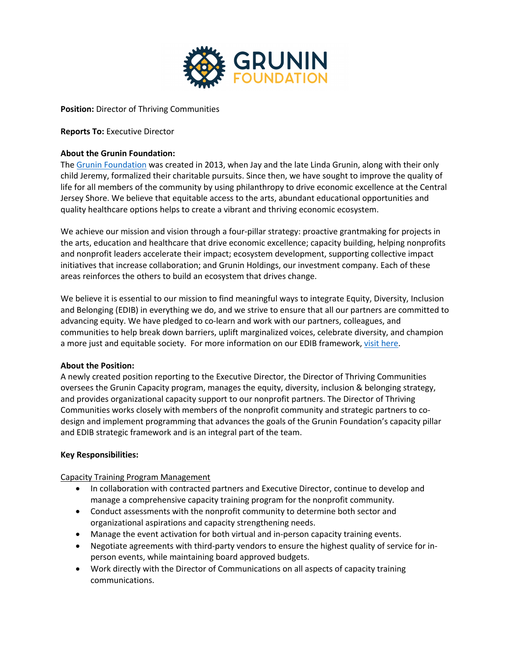

**Position:** Director of Thriving Communities

### **Reports To:** Executive Director

### **About the Grunin Foundation:**

The [Grunin Foundation](https://gruninfoundation.org) was created in 2013, when Jay and the late Linda Grunin, along with their only child Jeremy, formalized their charitable pursuits. Since then, we have sought to improve the quality of life for all members of the community by using philanthropy to drive economic excellence at the Central Jersey Shore. We believe that equitable access to the arts, abundant educational opportunities and quality healthcare options helps to create a vibrant and thriving economic ecosystem.

We achieve our mission and vision through a four-pillar strategy: proactive grantmaking for projects in the arts, education and healthcare that drive economic excellence; capacity building, helping nonprofits and nonprofit leaders accelerate their impact; ecosystem development, supporting collective impact initiatives that increase collaboration; and Grunin Holdings, our investment company. Each of these areas reinforces the others to build an ecosystem that drives change.

We believe it is essential to our mission to find meaningful ways to integrate Equity, Diversity, Inclusion and Belonging (EDIB) in everything we do, and we strive to ensure that all our partners are committed to advancing equity. We have pledged to co-learn and work with our partners, colleagues, and communities to help break down barriers, uplift marginalized voices, celebrate diversity, and champion a more just and equitable society. For more information on our EDIB framework, [visit here.](https://gruninfoundation.org/edi-framework/)

### **About the Position:**

A newly created position reporting to the Executive Director, the Director of Thriving Communities oversees the Grunin Capacity program, manages the equity, diversity, inclusion & belonging strategy, and provides organizational capacity support to our nonprofit partners. The Director of Thriving Communities works closely with members of the nonprofit community and strategic partners to codesign and implement programming that advances the goals of the Grunin Foundation's capacity pillar and EDIB strategic framework and is an integral part of the team.

### **Key Responsibilities:**

Capacity Training Program Management

- In collaboration with contracted partners and Executive Director, continue to develop and manage a comprehensive capacity training program for the nonprofit community.
- Conduct assessments with the nonprofit community to determine both sector and organizational aspirations and capacity strengthening needs.
- Manage the event activation for both virtual and in-person capacity training events.
- Negotiate agreements with third-party vendors to ensure the highest quality of service for inperson events, while maintaining board approved budgets.
- Work directly with the Director of Communications on all aspects of capacity training communications.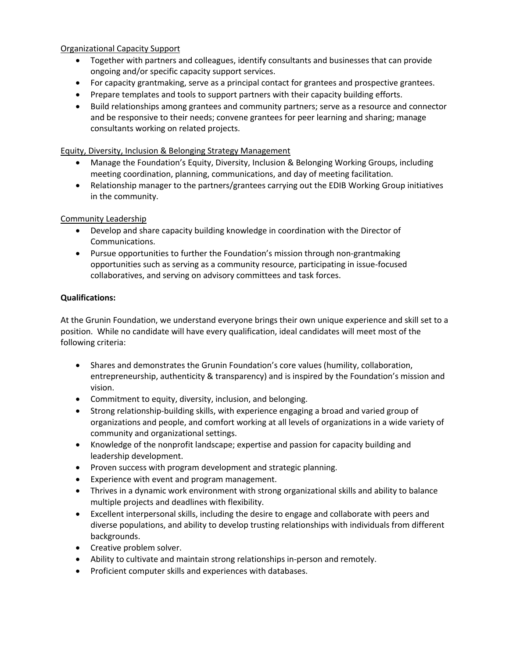Organizational Capacity Support

- Together with partners and colleagues, identify consultants and businesses that can provide ongoing and/or specific capacity support services.
- For capacity grantmaking, serve as a principal contact for grantees and prospective grantees.
- Prepare templates and tools to support partners with their capacity building efforts.
- Build relationships among grantees and community partners; serve as a resource and connector and be responsive to their needs; convene grantees for peer learning and sharing; manage consultants working on related projects.

# Equity, Diversity, Inclusion & Belonging Strategy Management

- Manage the Foundation's Equity, Diversity, Inclusion & Belonging Working Groups, including meeting coordination, planning, communications, and day of meeting facilitation.
- Relationship manager to the partners/grantees carrying out the EDIB Working Group initiatives in the community.

# Community Leadership

- Develop and share capacity building knowledge in coordination with the Director of Communications.
- Pursue opportunities to further the Foundation's mission through non-grantmaking opportunities such as serving as a community resource, participating in issue-focused collaboratives, and serving on advisory committees and task forces.

# **Qualifications:**

At the Grunin Foundation, we understand everyone brings their own unique experience and skill set to a position. While no candidate will have every qualification, ideal candidates will meet most of the following criteria:

- Shares and demonstrates the Grunin Foundation's core values (humility, collaboration, entrepreneurship, authenticity & transparency) and is inspired by the Foundation's mission and vision.
- Commitment to equity, diversity, inclusion, and belonging.
- Strong relationship-building skills, with experience engaging a broad and varied group of organizations and people, and comfort working at all levels of organizations in a wide variety of community and organizational settings.
- Knowledge of the nonprofit landscape; expertise and passion for capacity building and leadership development.
- Proven success with program development and strategic planning.
- Experience with event and program management.
- Thrives in a dynamic work environment with strong organizational skills and ability to balance multiple projects and deadlines with flexibility.
- Excellent interpersonal skills, including the desire to engage and collaborate with peers and diverse populations, and ability to develop trusting relationships with individuals from different backgrounds.
- Creative problem solver.
- Ability to cultivate and maintain strong relationships in-person and remotely.
- Proficient computer skills and experiences with databases.